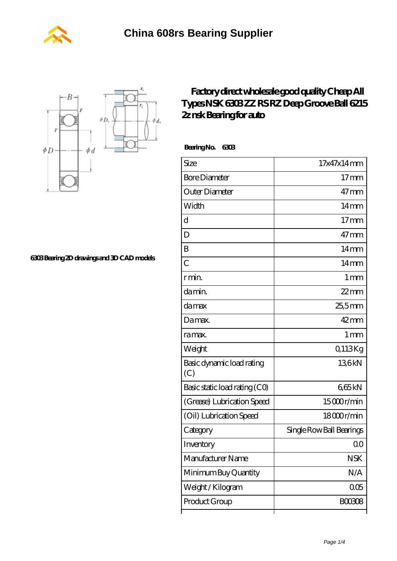



**[6303 Bearing 2D drawings and 3D CAD models](https://m.wanatahschool.com/pic-510986.html)**

## **[Factory direct wholesale good quality Cheap All](https://m.wanatahschool.com/nsk-6303-bearing/) [Types NSK 6303 ZZ RS RZ Deep Groove Ball 6215](https://m.wanatahschool.com/nsk-6303-bearing/) [2z nsk Bearing for auto](https://m.wanatahschool.com/nsk-6303-bearing/)**

 **Bearing No. 6303**

| Size                             | 17x47x14mm               |
|----------------------------------|--------------------------|
| <b>Bore Diameter</b>             | $17$ mm                  |
| Outer Diameter                   | $47 \text{mm}$           |
| Width                            | 14 <sub>mm</sub>         |
| d                                | $17$ mm                  |
| D                                | $47$ mm                  |
| B                                | $14 \text{mm}$           |
| C                                | $14 \text{mm}$           |
| r min.                           | 1 <sub>mm</sub>          |
| da min.                          | $22$ mm                  |
| damax                            | 25,5mm                   |
| Damax.                           | $42$ mm                  |
| ra max.                          | 1 <sub>mm</sub>          |
| Weight                           | Q113Kg                   |
| Basic dynamic load rating<br>(C) | 136kN                    |
| Basic static load rating (CO)    | 665kN                    |
| (Grease) Lubrication Speed       | 15000r/min               |
| (Oil) Lubrication Speed          | 18000r/min               |
| Category                         | Single Row Ball Bearings |
| Inventory                        | Q0                       |
| Manufacturer Name                | <b>NSK</b>               |
| Minimum Buy Quantity             | N/A                      |
| Weight/Kilogram                  | 005                      |
| Product Group                    | <b>BOO3O8</b>            |
|                                  |                          |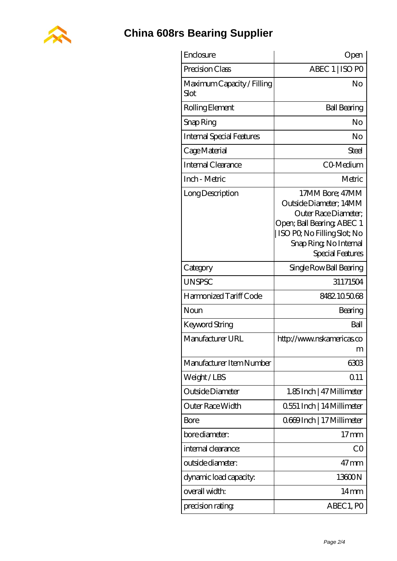

## **[China 608rs Bearing Supplier](https://m.wanatahschool.com)**

| Enclosure                          | Open                                                                                                                                                                        |
|------------------------------------|-----------------------------------------------------------------------------------------------------------------------------------------------------------------------------|
| Precision Class                    | ABEC 1   ISO PO                                                                                                                                                             |
| Maximum Capacity / Filling<br>Slot | No                                                                                                                                                                          |
| Rolling Element                    | <b>Ball Bearing</b>                                                                                                                                                         |
| Snap Ring                          | No                                                                                                                                                                          |
| <b>Internal Special Features</b>   | No                                                                                                                                                                          |
| Cage Material                      | Steel                                                                                                                                                                       |
| Internal Clearance                 | CO-Medium                                                                                                                                                                   |
| Inch - Metric                      | Metric                                                                                                                                                                      |
| Long Description                   | 17MM Bore; 47MM<br>Outside Diameter; 14MM<br>Outer Race Diameter;<br>Open; Ball Bearing; ABEC 1<br>ISO PQ No Filling Slot; No<br>Snap Ring, No Internal<br>Special Features |
| Category                           | Single Row Ball Bearing                                                                                                                                                     |
| <b>UNSPSC</b>                      | 31171504                                                                                                                                                                    |
| Harmonized Tariff Code             | 8482105068                                                                                                                                                                  |
| Noun                               | Bearing                                                                                                                                                                     |
| <b>Keyword String</b>              | Ball                                                                                                                                                                        |
| Manufacturer URL                   | http://www.nskamericas.co<br>ш                                                                                                                                              |
| Manufacturer Item Number           | 6303                                                                                                                                                                        |
| Weight/LBS                         | Q <sub>11</sub>                                                                                                                                                             |
| Outside Diameter                   | 1.85 Inch   47 Millimeter                                                                                                                                                   |
| Outer Race Width                   | 0.551 Inch   14 Millimeter                                                                                                                                                  |
| Bore                               | 0669Inch   17 Millimeter                                                                                                                                                    |
| bore diameter:                     | $17$ mm                                                                                                                                                                     |
| internal clearance:                | CO                                                                                                                                                                          |
| outside diameter:                  | $47$ mm                                                                                                                                                                     |
| dynamic load capacity:             | 13600N                                                                                                                                                                      |
| overall width:                     | $14 \text{mm}$                                                                                                                                                              |
| precision rating                   | ABEC 1, PO                                                                                                                                                                  |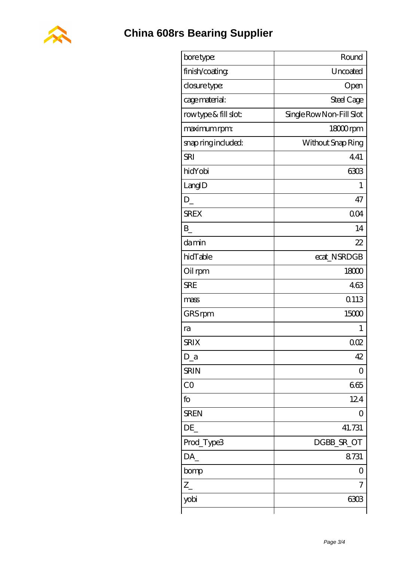

| bore type:           | Round                    |
|----------------------|--------------------------|
| finish/coating       | Uncoated                 |
| closure type:        | Open                     |
| cage material:       | Steel Cage               |
| rowtype & fill slot: | Single Row Non-Fill Slot |
| maximum rpm:         | 18000rpm                 |
| snap ring included:  | Without Snap Ring        |
| <b>SRI</b>           | 441                      |
| hidYobi              | 6303                     |
| LangID               | 1                        |
| D                    | 47                       |
| <b>SREX</b>          | 004                      |
| B                    | 14                       |
| damin                | 22                       |
| hidTable             | ecat_NSRDGB              |
| Oil rpm              | 18000                    |
| <b>SRE</b>           | 463                      |
| mass                 | 0113                     |
| GRS rpm              | 15000                    |
| ra                   | 1                        |
| <b>SRIX</b>          | 002                      |
| D a                  | 42                       |
| <b>SRIN</b>          | $\left( \ \right)$       |
| CO                   | 665                      |
| fo                   | 124                      |
| <b>SREN</b>          | O                        |
| DE                   | 41.731                   |
| Prod_Type3           | DGBB_SR_OT               |
| DA_                  | 8731                     |
| bomp                 | Ο                        |
| $Z_{-}$              | 7                        |
| yobi                 | 6303                     |
|                      |                          |